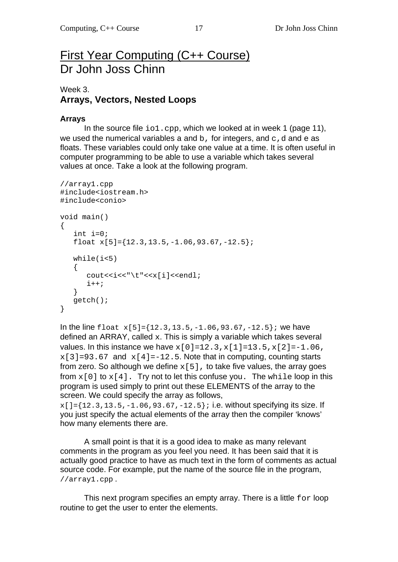# First Year Computing (C++ Course) Dr John Joss Chinn

## Week 3. **Arrays, Vectors, Nested Loops**

#### **Arrays**

In the source file  $\text{io1.cpp}$ , which we looked at in week 1 (page 11), we used the numerical variables a and b, for integers, and  $c$ , d and  $e$  as floats. These variables could only take one value at a time. It is often useful in computer programming to be able to use a variable which takes several values at once. Take a look at the following program.

```
//array1.cpp 
#include<iostream.h> 
#include<conio> 
void main() 
{ 
   int i=0;float x[5]=\{12.3,13.5,-1.06,93.67,-12.5\};
    while(i<5) 
   \left\{ \right.cout<<i<<"\t"<<x[i]<<endl;
       i++; } 
    getch(); 
}
```
In the line float  $x[5] = \{12.3, 13.5, -1.06, 93.67, -12.5\}$ ; we have defined an ARRAY, called x. This is simply a variable which takes several values. In this instance we have  $x[0]=12.3, x[1]=13.5, x[2]=-1.06$ ,  $x[3]=93.67$  and  $x[4]=-12.5$ . Note that in computing, counting starts from zero. So although we define  $x[5]$ , to take five values, the array goes from  $x[0]$  to  $x[4]$ . Try not to let this confuse you. The while loop in this program is used simply to print out these ELEMENTS of the array to the screen. We could specify the array as follows,

 $x[$ ]={12.3,13.5,-1.06,93.67,-12.5}; i.e. without specifying its size. If you just specify the actual elements of the array then the compiler 'knows' how many elements there are.

A small point is that it is a good idea to make as many relevant comments in the program as you feel you need. It has been said that it is actually good practice to have as much text in the form of comments as actual source code. For example, put the name of the source file in the program, //array1.cpp .

This next program specifies an empty array. There is a little  $for$  loop routine to get the user to enter the elements.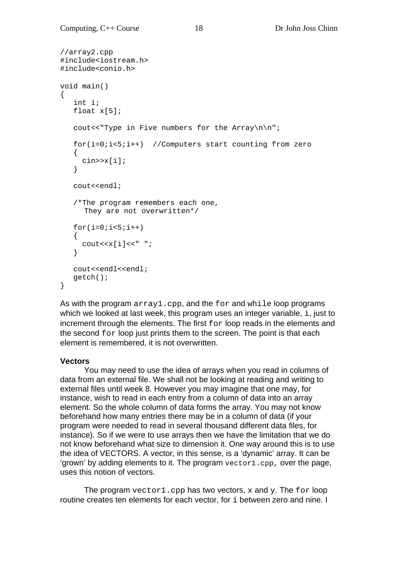```
//array2.cpp 
#include<iostream.h> 
#include<conio.h> 
void main() 
{ 
    int i; 
    float x[5]; 
   cout<<"Type in Five numbers for the Array\n\n";
    for(i=0;i<5;i++) //Computers start counting from zero 
    { 
       cin>>x[i]; 
    } 
    cout<<endl; 
    /*The program remembers each one, 
       They are not overwritten*/ 
   for(i=0; i<5; i++)\{\texttt{cout} \ll \texttt{[i]} \ll " " ; } 
    cout<<endl<<endl; 
    getch(); 
}
```
As with the program  $array1$ .cpp, and the for and while loop programs which we looked at last week, this program uses an integer variable, i, just to increment through the elements. The first for loop reads in the elements and the second for loop just prints them to the screen. The point is that each element is remembered, it is not overwritten.

#### **Vectors**

 You may need to use the idea of arrays when you read in columns of data from an external file. We shall not be looking at reading and writing to external files until week 8. However you may imagine that one may, for instance, wish to read in each entry from a column of data into an array element. So the whole column of data forms the array. You may not know beforehand how many entries there may be in a column of data (if your program were needed to read in several thousand different data files, for instance). So if we were to use arrays then we have the limitation that we do not know beforehand what size to dimension it. One way around this is to use the idea of VECTORS. A vector, in this sense, is a 'dynamic' array. It can be 'grown' by adding elements to it. The program  $vector1$ .cpp, over the page, uses this notion of vectors.

The program vector1.cpp has two vectors, x and y. The for loop routine creates ten elements for each vector, for i between zero and nine. I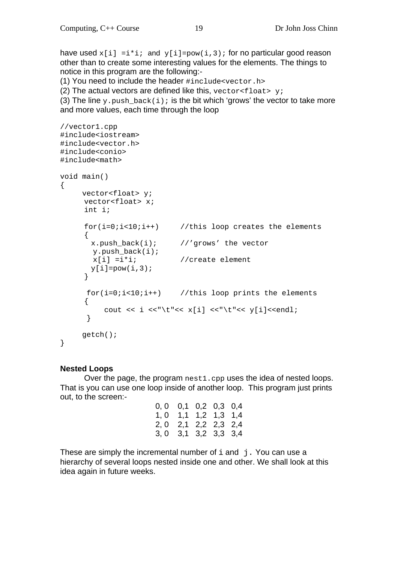have used  $x[i] = i * i;$  and  $y[i] = pow(i,3);$  for no particular good reason other than to create some interesting values for the elements. The things to notice in this program are the following:-

(1) You need to include the header #include<vector.h>

(2) The actual vectors are defined like this,  $vector \leq 1$ oat> y;

(3) The line y.push back(i); is the bit which 'grows' the vector to take more and more values, each time through the loop

```
//vector1.cpp 
#include<iostream> 
#include<vector.h> 
#include<conio> 
#include<math> 
void main() 
{ 
     vector<float> y;
     vector<float> x;
      int i; 
     for(i=0,i<10,i++) //this loop creates the elements
\{ x.push_back(i); //'grows' the vector 
       y.push_back(i); 
       x[i] = i * i; //create element
      y[i] = pow(i,3); } 
     for(i=0:i<10:i++) //this loop prints the elements
      { 
      cout << i <<"\t"<< x[i] <<"\t"<< y[i]<<endl;<br>}
 } 
      getch(); 
}
```
#### **Nested Loops**

 Over the page, the program nest1.cpp uses the idea of nested loops. That is you can use one loop inside of another loop. This program just prints out, to the screen:-

| $0, 0$ $0, 1$ $0, 2$ $0, 3$ $0, 4$ |                                    |             |  |
|------------------------------------|------------------------------------|-------------|--|
|                                    | $1, 0$ $1, 1$ $1, 2$ $1, 3$ $1, 4$ |             |  |
| 2, 0                               | 2,1                                | 2,2 2,3 2,4 |  |
|                                    | $3, 0$ $3, 1$ $3, 2$ $3, 3$ $3, 4$ |             |  |

These are simply the incremental number of  $\pm$  and  $\pm$ . You can use a hierarchy of several loops nested inside one and other. We shall look at this idea again in future weeks.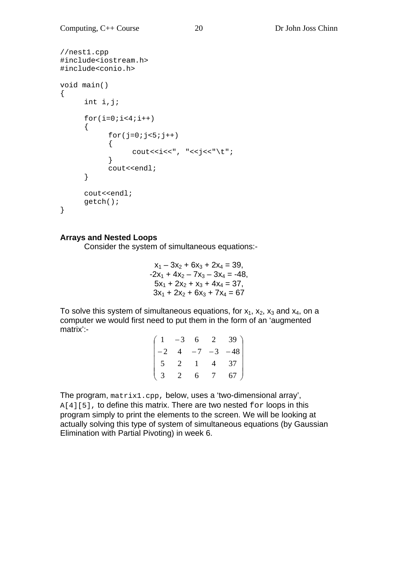```
//nest1.cpp 
#include<iostream.h> 
#include<conio.h> 
void main() 
{ 
      int i,j; 
     for(i=0;i<4;i++) { 
           for(j=0; j<5; j++))
\{cout << i << ", " << j << " \t";
 } 
            cout<<endl; 
       } 
     cout<<endl;
      getch(); 
}
```
#### **Arrays and Nested Loops**

Consider the system of simultaneous equations:-

$$
x_1 - 3x_2 + 6x_3 + 2x_4 = 39,
$$
  
\n
$$
-2x_1 + 4x_2 - 7x_3 - 3x_4 = -48,
$$
  
\n
$$
5x_1 + 2x_2 + x_3 + 4x_4 = 37,
$$
  
\n
$$
3x_1 + 2x_2 + 6x_3 + 7x_4 = 67
$$

To solve this system of simultaneous equations, for  $x_1$ ,  $x_2$ ,  $x_3$  and  $x_4$ , on a computer we would first need to put them in the form of an 'augmented matrix':-

| $\begin{pmatrix} 1 & -3 \end{pmatrix}$ |   | 6            |                 | $2 \quad 39$ ) |
|----------------------------------------|---|--------------|-----------------|----------------|
| $\vert -2 \vert$                       |   | $4 - 7$      | $-3$            | $-48$          |
| $5\overline{)}$                        | 2 | $\mathbf{1}$ | $\overline{4}$  | 37             |
| $\binom{3}{}$                          | 2 | 6            | $7\overline{ }$ | 67             |

The program, matrix1.cpp, below, uses a 'two-dimensional array',  $A[4][5]$ , to define this matrix. There are two nested  $for$  loops in this program simply to print the elements to the screen. We will be looking at actually solving this type of system of simultaneous equations (by Gaussian Elimination with Partial Pivoting) in week 6.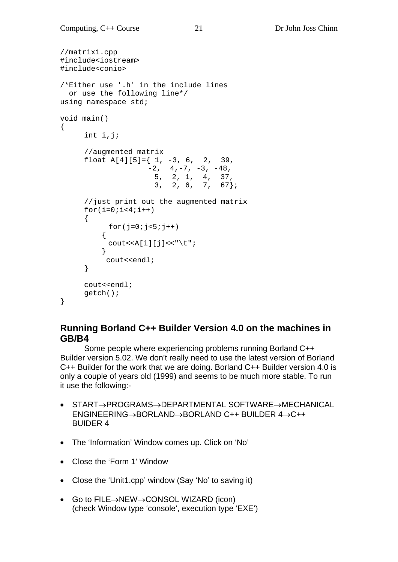```
//matrix1.cpp 
#include<iostream> 
#include<conio> 
/*Either use '.h' in the include lines 
   or use the following line*/ 
using namespace std; 
void main() 
{ 
       int i,j; 
       //augmented matrix 
      float A[4][5]=\{ 1, -3, 6, 2, 39,-2, 4, -7, -3, -48, 5, 2, 1, 4, 37, 
                        3, 2, 6, 7, 67}; 
       //just print out the augmented matrix 
      for(i=0;i<4;i++) { 
            for(j=0:j<5:j++)\{\text{cout} \leq \text{A[i][j]} \leq \text{"t";} } 
            cout<<endl; 
       } 
       cout<<endl; 
       getch(); 
}
```
### **Running Borland C++ Builder Version 4.0 on the machines in GB/B4**

 Some people where experiencing problems running Borland C++ Builder version 5.02. We don't really need to use the latest version of Borland C++ Builder for the work that we are doing. Borland C++ Builder version 4.0 is only a couple of years old (1999) and seems to be much more stable. To run it use the following:-

- $START \rightarrow PROGRAMS \rightarrow DEPARTIMENTAL SOFTWARE \rightarrow MECHANICAL$  $ENGINEERING \rightarrow BORLAND \rightarrow BORLAND C++ BUILDER 4 \rightarrow C++$ BUIDER 4
- The 'Information' Window comes up. Click on 'No'
- Close the 'Form 1' Window
- Close the 'Unit1.cpp' window (Say 'No' to saving it)
- $\bullet$  Go to FILE $\rightarrow$ NEW $\rightarrow$ CONSOL WIZARD (icon) (check Window type 'console', execution type 'EXE')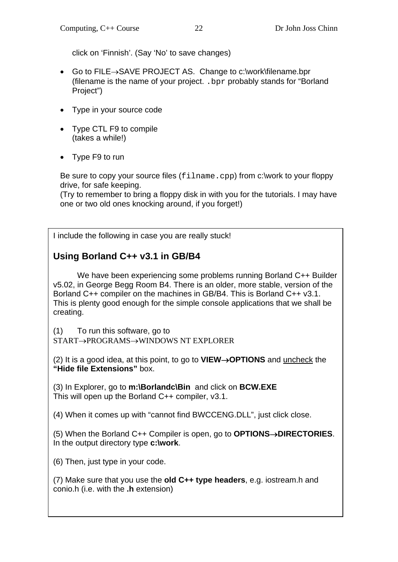click on 'Finnish'. (Say 'No' to save changes)

- Go to FILE $\rightarrow$ SAVE PROJECT AS. Change to c:\work\filename.bpr (filename is the name of your project. .bpr probably stands for "Borland Project")
- Type in your source code
- Type CTL F9 to compile (takes a while!)
- Type F9 to run

Be sure to copy your source files (filname.cpp) from c:\work to your floppy drive, for safe keeping.

(Try to remember to bring a floppy disk in with you for the tutorials. I may have one or two old ones knocking around, if you forget!)

I include the following in case you are really stuck!

# **Using Borland C++ v3.1 in GB/B4**

We have been experiencing some problems running Borland C++ Builder v5.02, in George Begg Room B4. There is an older, more stable, version of the Borland C++ compiler on the machines in GB/B4. This is Borland C++ v3.1. This is plenty good enough for the simple console applications that we shall be creating.

(1) To run this software, go to

START->PROGRAMS->WINDOWS NT EXPLORER

(2) It is a good idea, at this point, to go to **VIEW→OPTIONS** and uncheck the **"Hide file Extensions"** box.

(3) In Explorer, go to **m:\Borlandc\Bin** and click on **BCW.EXE** This will open up the Borland C++ compiler, v3.1.

(4) When it comes up with "cannot find BWCCENG.DLL", just click close.

(5) When the Borland C++ Compiler is open, go to **OPTIONS→DIRECTORIES**. In the output directory type **c:\work**.

(6) Then, just type in your code.

(7) Make sure that you use the **old C++ type headers**, e.g. iostream.h and conio.h (i.e. with the **.h** extension)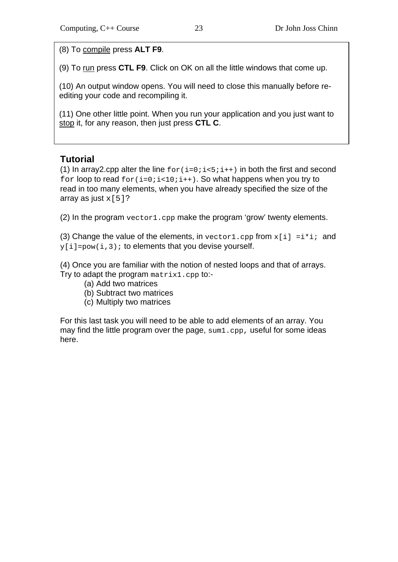(8) To compile press **ALT F9**.

(9) To run press **CTL F9**. Click on OK on all the little windows that come up.

(10) An output window opens. You will need to close this manually before reediting your code and recompiling it.

(11) One other little point. When you run your application and you just want to stop it, for any reason, then just press **CTL C**.

## **Tutorial**

(1) In array 2.cpp alter the line  $for(i=0; i<5; i++)$  in both the first and second for loop to read  $for(i=0; i<10; i++)$ . So what happens when you try to read in too many elements, when you have already specified the size of the array as just  $x[5]$ ?

(2) In the program vector1.cpp make the program 'grow' twenty elements.

(3) Change the value of the elements, in vector1.cpp from  $x[i] = i * i;$  and  $y[i]=pow(i,3);$  to elements that you devise yourself.

(4) Once you are familiar with the notion of nested loops and that of arrays. Try to adapt the program matrix1.cpp to:-

- (a) Add two matrices
- (b) Subtract two matrices
- (c) Multiply two matrices

For this last task you will need to be able to add elements of an array. You may find the little program over the page,  $sum1$ .cpp, useful for some ideas here.